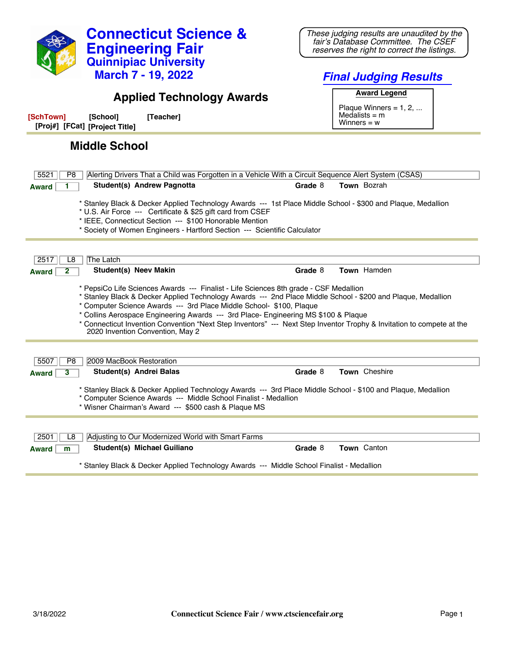

## **Applied Technology Awards**

**[SchTown] [School] [Teacher] [Proj#] [FCat] [Project Title]**

## **Middle School**

| 5521<br>Alerting Drivers That a Child was Forgotten in a Vehicle With a Circuit Sequence Alert System (CSAS)<br>P8                                                                                                                                                                                                                                                                                                                                                                                                                |         |                    |  |
|-----------------------------------------------------------------------------------------------------------------------------------------------------------------------------------------------------------------------------------------------------------------------------------------------------------------------------------------------------------------------------------------------------------------------------------------------------------------------------------------------------------------------------------|---------|--------------------|--|
| Student(s) Andrew Pagnotta<br><b>Award</b>                                                                                                                                                                                                                                                                                                                                                                                                                                                                                        | Grade 8 | Town Bozrah        |  |
| * Stanley Black & Decker Applied Technology Awards --- 1st Place Middle School - \$300 and Plaque, Medallion<br>* U.S. Air Force --- Certificate & \$25 gift card from CSEF<br>* IEEE, Connecticut Section --- \$100 Honorable Mention<br>* Society of Women Engineers - Hartford Section --- Scientific Calculator                                                                                                                                                                                                               |         |                    |  |
| The Latch<br>2517<br>L8                                                                                                                                                                                                                                                                                                                                                                                                                                                                                                           |         |                    |  |
| Student(s) Neev Makin<br>2<br><b>Award</b>                                                                                                                                                                                                                                                                                                                                                                                                                                                                                        | Grade 8 | Town Hamden        |  |
| * PepsiCo Life Sciences Awards --- Finalist - Life Sciences 8th grade - CSF Medallion<br>Stanley Black & Decker Applied Technology Awards --- 2nd Place Middle School - \$200 and Plaque, Medallion *<br>* Computer Science Awards --- 3rd Place Middle School- \$100, Plaque<br>* Collins Aerospace Engineering Awards --- 3rd Place- Engineering MS \$100 & Plaque<br>* Connecticut Invention Convention "Next Step Inventors" --- Next Step Inventor Trophy & Invitation to compete at the<br>2020 Invention Convention, May 2 |         |                    |  |
| 2009 MacBook Restoration<br>5507<br>P <sub>8</sub>                                                                                                                                                                                                                                                                                                                                                                                                                                                                                |         |                    |  |
| Student(s) Andrei Balas<br>$\overline{\mathbf{3}}$<br><b>Award</b>                                                                                                                                                                                                                                                                                                                                                                                                                                                                | Grade 8 | Town Cheshire      |  |
| * Stanley Black & Decker Applied Technology Awards --- 3rd Place Middle School - \$100 and Plaque, Medallion<br>* Computer Science Awards --- Middle School Finalist - Medallion<br>* Wisner Chairman's Award --- \$500 cash & Plaque MS                                                                                                                                                                                                                                                                                          |         |                    |  |
|                                                                                                                                                                                                                                                                                                                                                                                                                                                                                                                                   |         |                    |  |
| 2501<br>Adjusting to Our Modernized World with Smart Farms<br>L <sub>8</sub>                                                                                                                                                                                                                                                                                                                                                                                                                                                      |         |                    |  |
| Student(s) Michael Guiliano<br><b>Award</b><br>m                                                                                                                                                                                                                                                                                                                                                                                                                                                                                  | Grade 8 | <b>Town</b> Canton |  |
| * Stanley Black & Decker Applied Technology Awards --- Middle School Finalist - Medallion                                                                                                                                                                                                                                                                                                                                                                                                                                         |         |                    |  |

*Final Judging Results* **Award Legend**

Plaque Winners =  $1, 2, ...$ Medalists = m Winners = w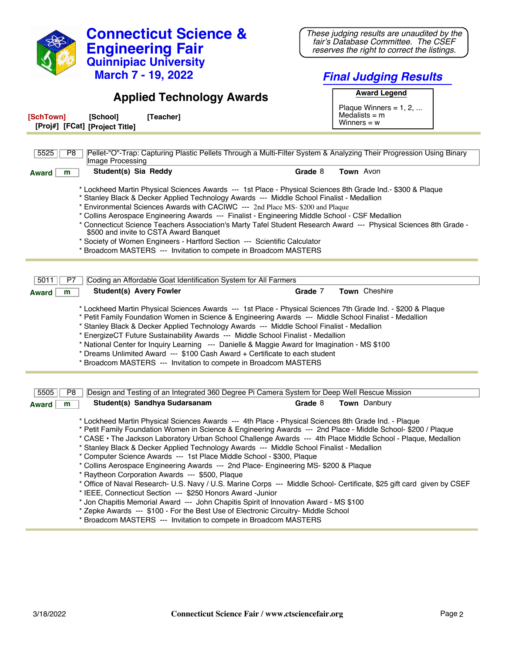| <b>Connecticut Science &amp;</b><br><b>Engineering Fair</b>                                                                                                                                                                                                                                                                                                                                                                                                                                                                                                                                                                                                                                                                                                                                                                                                                                                                              | These judging results are unaudited by the<br>fair's Database Committee. The CSEF<br>reserves the right to correct the listings. |  |  |  |
|------------------------------------------------------------------------------------------------------------------------------------------------------------------------------------------------------------------------------------------------------------------------------------------------------------------------------------------------------------------------------------------------------------------------------------------------------------------------------------------------------------------------------------------------------------------------------------------------------------------------------------------------------------------------------------------------------------------------------------------------------------------------------------------------------------------------------------------------------------------------------------------------------------------------------------------|----------------------------------------------------------------------------------------------------------------------------------|--|--|--|
| <b>Quinnipiac University</b><br><b>March 7 - 19, 2022</b>                                                                                                                                                                                                                                                                                                                                                                                                                                                                                                                                                                                                                                                                                                                                                                                                                                                                                | <b>Final Judging Results</b>                                                                                                     |  |  |  |
| <b>Applied Technology Awards</b>                                                                                                                                                                                                                                                                                                                                                                                                                                                                                                                                                                                                                                                                                                                                                                                                                                                                                                         | <b>Award Legend</b><br>Plaque Winners = $1, 2, $                                                                                 |  |  |  |
| [SchTown]<br>[Teacher]<br>[School]<br>[Proj#] [FCat] [Project Title]                                                                                                                                                                                                                                                                                                                                                                                                                                                                                                                                                                                                                                                                                                                                                                                                                                                                     | Medalists $=$ m<br>Winners = $w$                                                                                                 |  |  |  |
| Pellet-"O"-Trap: Capturing Plastic Pellets Through a Multi-Filter System & Analyzing Their Progression Using Binary<br>5525<br>P8                                                                                                                                                                                                                                                                                                                                                                                                                                                                                                                                                                                                                                                                                                                                                                                                        |                                                                                                                                  |  |  |  |
| Image Processing                                                                                                                                                                                                                                                                                                                                                                                                                                                                                                                                                                                                                                                                                                                                                                                                                                                                                                                         |                                                                                                                                  |  |  |  |
| Student(s) Sia Reddy<br>m<br>Award                                                                                                                                                                                                                                                                                                                                                                                                                                                                                                                                                                                                                                                                                                                                                                                                                                                                                                       | Town Avon<br>Grade 8                                                                                                             |  |  |  |
| * Lockheed Martin Physical Sciences Awards --- 1st Place - Physical Sciences 8th Grade Ind.- \$300 & Plaque<br>* Stanley Black & Decker Applied Technology Awards --- Middle School Finalist - Medallion<br>* Environmental Sciences Awards with CACIWC --- 2nd Place MS- \$200 and Plaque<br>* Collins Aerospace Engineering Awards --- Finalist - Engineering Middle School - CSF Medallion<br>* Connecticut Science Teachers Association's Marty Tafel Student Research Award --- Physical Sciences 8th Grade -<br>\$500 and invite to CSTA Award Banquet<br>* Society of Women Engineers - Hartford Section --- Scientific Calculator<br>* Broadcom MASTERS --- Invitation to compete in Broadcom MASTERS                                                                                                                                                                                                                            |                                                                                                                                  |  |  |  |
| 5011                                                                                                                                                                                                                                                                                                                                                                                                                                                                                                                                                                                                                                                                                                                                                                                                                                                                                                                                     |                                                                                                                                  |  |  |  |
| Coding an Affordable Goat Identification System for All Farmers<br>P7<br><b>Student(s) Avery Fowler</b><br>m<br><b>Award</b>                                                                                                                                                                                                                                                                                                                                                                                                                                                                                                                                                                                                                                                                                                                                                                                                             | Town Cheshire<br>Grade 7                                                                                                         |  |  |  |
| * Lockheed Martin Physical Sciences Awards --- 1st Place - Physical Sciences 7th Grade Ind. - \$200 & Plaque<br>* Petit Family Foundation Women in Science & Engineering Awards --- Middle School Finalist - Medallion<br>* Stanley Black & Decker Applied Technology Awards --- Middle School Finalist - Medallion<br>* EnergizeCT Future Sustainability Awards --- Middle School Finalist - Medallion<br>* National Center for Inquiry Learning --- Danielle & Maggie Award for Imagination - MS \$100<br>* Dreams Unlimited Award --- \$100 Cash Award + Certificate to each student<br>* Broadcom MASTERS --- Invitation to compete in Broadcom MASTERS                                                                                                                                                                                                                                                                              |                                                                                                                                  |  |  |  |
|                                                                                                                                                                                                                                                                                                                                                                                                                                                                                                                                                                                                                                                                                                                                                                                                                                                                                                                                          |                                                                                                                                  |  |  |  |
| Design and Testing of an Integrated 360 Degree Pi Camera System for Deep Well Rescue Mission<br>5505<br>P8                                                                                                                                                                                                                                                                                                                                                                                                                                                                                                                                                                                                                                                                                                                                                                                                                               |                                                                                                                                  |  |  |  |
| Student(s) Sandhya Sudarsanam<br><b>Award</b><br>m                                                                                                                                                                                                                                                                                                                                                                                                                                                                                                                                                                                                                                                                                                                                                                                                                                                                                       | Town Danbury<br>Grade 8                                                                                                          |  |  |  |
| * Lockheed Martin Physical Sciences Awards --- 4th Place - Physical Sciences 8th Grade Ind. - Plaque<br>* Petit Family Foundation Women in Science & Engineering Awards --- 2nd Place - Middle School- \$200 / Plaque<br>* CASE · The Jackson Laboratory Urban School Challenge Awards --- 4th Place Middle School - Plaque, Medallion<br>* Stanley Black & Decker Applied Technology Awards --- Middle School Finalist - Medallion<br>* Computer Science Awards --- 1st Place Middle School - \$300, Plaque<br>* Collins Aerospace Engineering Awards --- 2nd Place- Engineering MS- \$200 & Plaque<br>* Raytheon Corporation Awards --- \$500, Plaque<br>* Office of Naval Research- U.S. Navy / U.S. Marine Corps --- Middle School- Certificate, \$25 gift card given by CSEF<br>* IEEE, Connecticut Section --- \$250 Honors Award -Junior<br>* Jon Chapitis Memorial Award --- John Chapitis Spirit of Innovation Award - MS \$100 |                                                                                                                                  |  |  |  |

- \* Zepke Awards --- \$100 For the Best Use of Electronic Circuitry- Middle School
- \* Broadcom MASTERS --- Invitation to compete in Broadcom MASTERS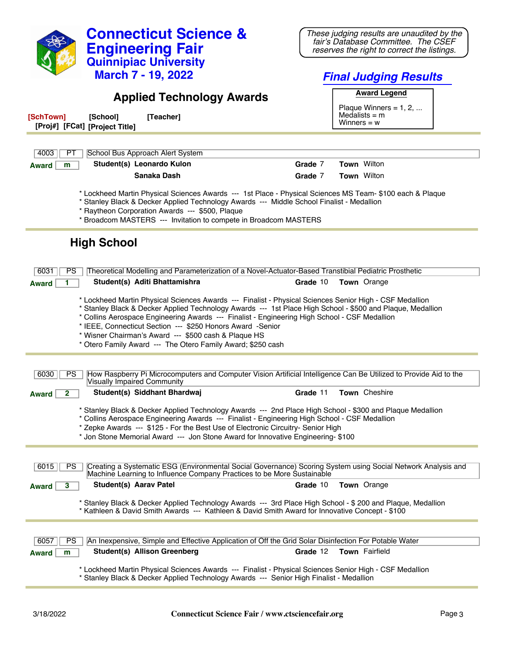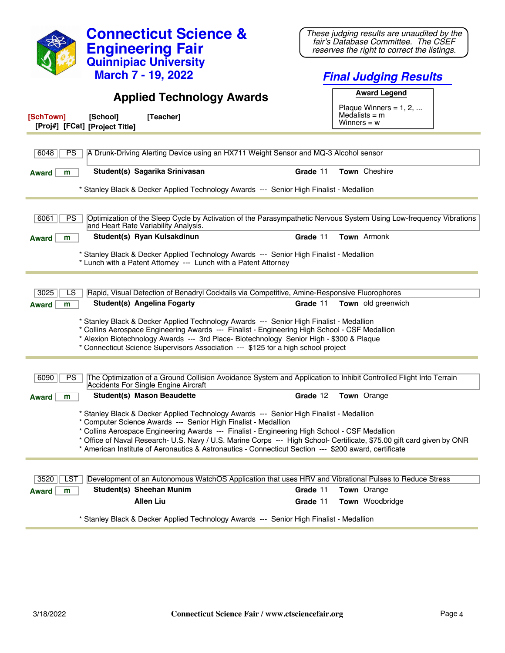| <b>Connecticut Science &amp;</b><br><b>Engineering Fair</b>                                                                                                                                                                                                                                                                                                                                                                                                                                   | These judging results are unaudited by the<br>fair's Database Committee. The CSEF<br>reserves the right to correct the listings. |  |  |
|-----------------------------------------------------------------------------------------------------------------------------------------------------------------------------------------------------------------------------------------------------------------------------------------------------------------------------------------------------------------------------------------------------------------------------------------------------------------------------------------------|----------------------------------------------------------------------------------------------------------------------------------|--|--|
| <b>Quinnipiac University</b>                                                                                                                                                                                                                                                                                                                                                                                                                                                                  |                                                                                                                                  |  |  |
| <b>March 7 - 19, 2022</b>                                                                                                                                                                                                                                                                                                                                                                                                                                                                     | <b>Final Judging Results</b>                                                                                                     |  |  |
| <b>Applied Technology Awards</b>                                                                                                                                                                                                                                                                                                                                                                                                                                                              | <b>Award Legend</b>                                                                                                              |  |  |
| [SchTown]<br>[Teacher]<br>[School]<br>[Proj#] [FCat] [Project Title]                                                                                                                                                                                                                                                                                                                                                                                                                          | Plaque Winners = $1, 2, $<br>Medalists $=$ m<br>Winners = $w$                                                                    |  |  |
| 6048<br><b>PS</b><br>A Drunk-Driving Alerting Device using an HX711 Weight Sensor and MQ-3 Alcohol sensor                                                                                                                                                                                                                                                                                                                                                                                     |                                                                                                                                  |  |  |
| Student(s) Sagarika Srinivasan<br><b>Award</b><br>m                                                                                                                                                                                                                                                                                                                                                                                                                                           | Grade 11<br><b>Town</b> Cheshire                                                                                                 |  |  |
| * Stanley Black & Decker Applied Technology Awards --- Senior High Finalist - Medallion                                                                                                                                                                                                                                                                                                                                                                                                       |                                                                                                                                  |  |  |
|                                                                                                                                                                                                                                                                                                                                                                                                                                                                                               |                                                                                                                                  |  |  |
| Optimization of the Sleep Cycle by Activation of the Parasympathetic Nervous System Using Low-frequency Vibrations<br>6061<br><b>PS</b><br>and Heart Rate Variability Analysis.                                                                                                                                                                                                                                                                                                               |                                                                                                                                  |  |  |
| Student(s) Ryan Kulsakdinun<br>m<br><b>Award</b>                                                                                                                                                                                                                                                                                                                                                                                                                                              | Town Armonk<br>Grade 11                                                                                                          |  |  |
| * Stanley Black & Decker Applied Technology Awards --- Senior High Finalist - Medallion<br>* Lunch with a Patent Attorney --- Lunch with a Patent Attorney                                                                                                                                                                                                                                                                                                                                    |                                                                                                                                  |  |  |
|                                                                                                                                                                                                                                                                                                                                                                                                                                                                                               |                                                                                                                                  |  |  |
| 3025<br>Rapid, Visual Detection of Benadryl Cocktails via Competitive, Amine-Responsive Fluorophores<br>LS<br><b>Student(s) Angelina Fogarty</b><br>m<br><b>Award</b>                                                                                                                                                                                                                                                                                                                         | Grade 11<br><b>Town</b> old greenwich                                                                                            |  |  |
| * Stanley Black & Decker Applied Technology Awards --- Senior High Finalist - Medallion<br>* Collins Aerospace Engineering Awards --- Finalist - Engineering High School - CSF Medallion<br>* Alexion Biotechnology Awards --- 3rd Place- Biotechnology Senior High - \$300 & Plaque<br>* Connecticut Science Supervisors Association --- \$125 for a high school project                                                                                                                     |                                                                                                                                  |  |  |
| The Optimization of a Ground Collision Avoidance System and Application to Inhibit Controlled Flight Into Terrain<br>6090<br>PS<br>Accidents For Single Engine Aircraft                                                                                                                                                                                                                                                                                                                       |                                                                                                                                  |  |  |
| <b>Student(s) Mason Beaudette</b><br>Award                                                                                                                                                                                                                                                                                                                                                                                                                                                    | Grade 12<br><b>Town</b> Orange                                                                                                   |  |  |
| * Stanley Black & Decker Applied Technology Awards --- Senior High Finalist - Medallion<br>* Computer Science Awards --- Senior High Finalist - Medallion<br>* Collins Aerospace Engineering Awards --- Finalist - Engineering High School - CSF Medallion<br>* Office of Naval Research- U.S. Navy / U.S. Marine Corps --- High School- Certificate, \$75.00 gift card given by ONR<br>* American Institute of Aeronautics & Astronautics - Connecticut Section --- \$200 award, certificate |                                                                                                                                  |  |  |
|                                                                                                                                                                                                                                                                                                                                                                                                                                                                                               |                                                                                                                                  |  |  |
| Development of an Autonomous WatchOS Application that uses HRV and Vibrational Pulses to Reduce Stress<br>3520<br>LST                                                                                                                                                                                                                                                                                                                                                                         |                                                                                                                                  |  |  |
| Student(s) Sheehan Munim<br>Award<br>m<br><b>Allen Liu</b>                                                                                                                                                                                                                                                                                                                                                                                                                                    | Grade 11<br>Town Orange<br>Town Woodbridge<br>Grade 11                                                                           |  |  |
| * Stanley Black & Decker Applied Technology Awards --- Senior High Finalist - Medallion                                                                                                                                                                                                                                                                                                                                                                                                       |                                                                                                                                  |  |  |